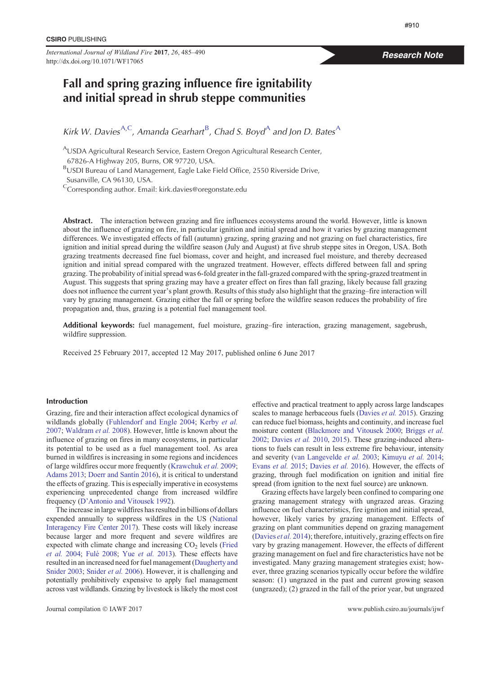*International Journal of Wildland Fire* **2017**, *<sup>26</sup>*, 485–490 http://dx.doi.org/10.1071/WF17065

# Fall and spring grazing influence fire ignitability and initial spread in shrub steppe communities

Kirk W. Davies<sup>A,C</sup>, Amanda Gearhart<sup>B</sup>, Chad S. Boyd<sup>A</sup> and Jon D. Bates<sup>A</sup>

<sup>A</sup>USDA Agricultural Research Service, Eastern Oregon Agricultural Research Center, 67826-A Highway 205, Burns, OR 97720, USA.

BUSDI Bureau of Land Management, Eagle Lake Field Office, 2550 Riverside Drive, Susanville, CA 96130, USA.

<sup>C</sup>Corresponding author. Email: kirk.davies@oregonstate.edu

Abstract. The interaction between grazing and fire influences ecosystems around the world. However, little is known about the influence of grazing on fire, in particular ignition and initial spread and how it varies by grazing management differences. We investigated effects of fall (autumn) grazing, spring grazing and not grazing on fuel characteristics, fire ignition and initial spread during the wildfire season (July and August) at five shrub steppe sites in Oregon, USA. Both grazing treatments decreased fine fuel biomass, cover and height, and increased fuel moisture, and thereby decreased ignition and initial spread compared with the ungrazed treatment. However, effects differed between fall and spring grazing. The probability of initial spread was 6-fold greater in the fall-grazed compared with the spring-grazed treatment in August. This suggests that spring grazing may have a greater effect on fires than fall grazing, likely because fall grazing does not influence the current year's plant growth. Results of this study also highlight that the grazing–fire interaction will vary by grazing management. Grazing either the fall or spring before the wildfire season reduces the probability of fire propagation and, thus, grazing is a potential fuel management tool.

Additional keywords: fuel management, fuel moisture, grazing–fire interaction, grazing management, sagebrush, wildfire suppression.

Received 25 February 2017, accepted 12 May 2017, published online 6 June 2017

# Introduction

Grazing, fire and their interaction affect ecological dynamics of wildlands globally ([Fuhlendorf and Engle 2004](#page-4-0); [Kerby](#page-4-0) *et al.* [2007;](#page-4-0) [Waldram](#page-5-0) *et al.* 2008). However, little is known about the influence of grazing on fires in many ecosystems, in particular its potential to be used as a fuel management tool. As area burned in wildfires is increasing in some regions and incidences of large wildfires occur more frequently [\(Krawchuk](#page-4-0) *et al.* 2009; [Adams 2013](#page-4-0); Doerr and Santin 2016), it is critical to understand the effects of grazing. This is especially imperative in ecosystems experiencing unprecedented change from increased wildfire frequency [\(D'Antonio and Vitousek 1992](#page-4-0)).

The increase inlarge wildfires has resultedin billions of dollars expended annually to suppress wildfires in the US [\(National](#page-4-0) [Interagency Fire Center 2017](#page-4-0)). These costs will likely increase because larger and more frequent and severe wildfires are expected with climate change and increasing  $CO<sub>2</sub>$  levels [\(Fried](#page-4-0) *[et al.](#page-5-0)* 2004; Fulé 2008; Yue *et al.* 2013). These effects have resultedin an increased need for fuel management [\(Daugherty and](#page-4-0) [Snider 2003;](#page-4-0) [Snider](#page-4-0) *et al.* 2006). However, it is challenging and potentially prohibitively expensive to apply fuel management across vast wildlands. Grazing by livestock is likely the most cost effective and practical treatment to apply across large landscapes scales to manage herbaceous fuels [\(Davies](#page-4-0) *et al.* 2015). Grazing can reduce fuel biomass, heights and continuity, and increase fuel moisture content [\(Blackmore and Vitousek 2000](#page-4-0); [Briggs](#page-4-0) *et al.* [2002](#page-4-0); [Davies](#page-4-0) *et al.* 2010, [2015](#page-4-0)). These grazing-induced alterations to fuels can result in less extreme fire behaviour, intensity and severity ([van Langevelde](#page-5-0) *et al.* 2003; [Kimuyu](#page-4-0) *et al.* 2014; [Evans](#page-4-0) *et al.* 2015; [Davies](#page-4-0) *et al.* 2016). However, the effects of grazing, through fuel modification on ignition and initial fire spread (from ignition to the next fuel source) are unknown.

Grazing effects have largely been confined to comparing one grazing management strategy with ungrazed areas. Grazing influence on fuel characteristics, fire ignition and initial spread, however, likely varies by grazing management. Effects of grazing on plant communities depend on grazing management [\(Davies](#page-4-0) *et al.* 2014); therefore, intuitively, grazing effects on fire vary by grazing management. However, the effects of different grazing management on fuel and fire characteristics have not be investigated. Many grazing management strategies exist; however, three grazing scenarios typically occur before the wildfire season: (1) ungrazed in the past and current growing season (ungrazed); (2) grazed in the fall of the prior year, but ungrazed

# Research Note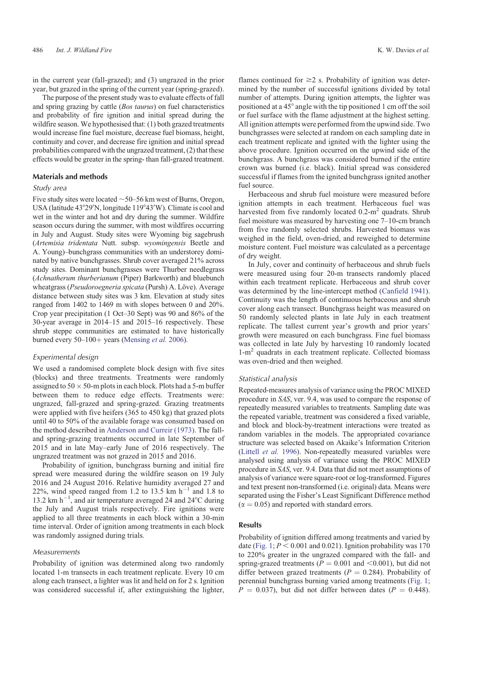in the current year (fall-grazed); and (3) ungrazed in the prior year, but grazed in the spring of the current year (spring-grazed).

The purpose of the present study was to evaluate effects of fall and spring grazing by cattle (*Bos taurus*) on fuel characteristics and probability of fire ignition and initial spread during the wildfire season. We hypothesised that: (1) both grazed treatments would increase fine fuel moisture, decrease fuel biomass, height, continuity and cover, and decrease fire ignition and initial spread probabilities compared with the ungrazed treatment, (2) that these effects would be greater in the spring- than fall-grazed treatment.

#### Materials and methods

# Study area

Five study sites were located  $\sim$  50–56 km west of Burns, Oregon, USA (latitude 43°29'N, longitude 119°43'W). Climate is cool and wet in the winter and hot and dry during the summer. Wildfire season occurs during the summer, with most wildfires occurring in July and August. Study sites were Wyoming big sagebrush (*Artemisia tridentata* Nutt. subsp. *wyomingensis* Beetle and A. Young)–bunchgrass communities with an understorey dominated by native bunchgrasses. Shrub cover averaged 21% across study sites. Dominant bunchgrasses were Thurber needlegrass (*Achnatherum thurberianum* (Piper) Barkworth) and bluebunch wheatgrass (*Pseudoroegneria spicata* (Pursh) A. Löve). Average distance between study sites was 3 km. Elevation at study sites ranged from 1402 to 1469 m with slopes between 0 and 20%. Crop year precipitation (1 Oct–30 Sept) was 90 and 86% of the 30-year average in 2014–15 and 2015–16 respectively. These shrub steppe communities are estimated to have historically burned every  $50-100+$  years ([Mensing](#page-4-0) *et al.* 2006).

# Experimental design

We used a randomised complete block design with five sites (blocks) and three treatments. Treatments were randomly assigned to  $50 \times 50$ -m plots in each block. Plots had a 5-m buffer between them to reduce edge effects. Treatments were: ungrazed, fall-grazed and spring-grazed. Grazing treatments were applied with five heifers (365 to 450 kg) that grazed plots until 40 to 50% of the available forage was consumed based on the method described in [Anderson and Curreir \(1973\).](#page-4-0) The falland spring-grazing treatments occurred in late September of 2015 and in late May–early June of 2016 respectively. The ungrazed treatment was not grazed in 2015 and 2016.

Probability of ignition, bunchgrass burning and initial fire spread were measured during the wildfire season on 19 July 2016 and 24 August 2016. Relative humidity averaged 27 and 22%, wind speed ranged from 1.2 to 13.5 km  $h^{-1}$  and 1.8 to 13.2 km  $h^{-1}$ , and air temperature averaged 24 and 24 $^{\circ}$ C during the July and August trials respectively. Fire ignitions were applied to all three treatments in each block within a 30-min time interval. Order of ignition among treatments in each block was randomly assigned during trials.

#### Measurements

Probability of ignition was determined along two randomly located 1-m transects in each treatment replicate. Every 10 cm along each transect, a lighter was lit and held on for 2 s. Ignition was considered successful if, after extinguishing the lighter,

flames continued for  $\geq$  2 s. Probability of ignition was determined by the number of successful ignitions divided by total number of attempts. During ignition attempts, the lighter was positioned at a 45° angle with the tip positioned 1 cm off the soil or fuel surface with the flame adjustment at the highest setting. All ignition attempts were performed from the upwind side. Two bunchgrasses were selected at random on each sampling date in each treatment replicate and ignited with the lighter using the above procedure. Ignition occurred on the upwind side of the bunchgrass. A bunchgrass was considered burned if the entire crown was burned (i.e. black). Initial spread was considered successful if flames from the ignited bunchgrass ignited another fuel source.

Herbaceous and shrub fuel moisture were measured before ignition attempts in each treatment. Herbaceous fuel was harvested from five randomly located  $0.2 \text{--} m^2$  quadrats. Shrub fuel moisture was measured by harvesting one 7–10-cm branch from five randomly selected shrubs. Harvested biomass was weighed in the field, oven-dried, and reweighed to determine moisture content. Fuel moisture was calculated as a percentage of dry weight.

In July, cover and continuity of herbaceous and shrub fuels were measured using four 20-m transects randomly placed within each treatment replicate. Herbaceous and shrub cover was determined by the line-intercept method ([Canfield 1941](#page-4-0)). Continuity was the length of continuous herbaceous and shrub cover along each transect. Bunchgrass height was measured on 50 randomly selected plants in late July in each treatment replicate. The tallest current year's growth and prior years' growth were measured on each bunchgrass. Fine fuel biomass was collected in late July by harvesting 10 randomly located 1-m<sup>2</sup> quadrats in each treatment replicate. Collected biomass was oven-dried and then weighed.

#### Statistical analysis

Repeated-measures analysis of variance using the PROC MIXED procedure in *SAS*, ver. 9.4, was used to compare the response of repeatedly measured variables to treatments. Sampling date was the repeated variable, treatment was considered a fixed variable, and block and block-by-treatment interactions were treated as random variables in the models. The appropriated covariance structure was selected based on Akaike's Information Criterion [\(Littell](#page-4-0) *et al.* 1996). Non-repeatedly measured variables were analysed using analysis of variance using the PROC MIXED procedure in *SAS*, ver. 9.4. Data that did not meet assumptions of analysis of variance were square-root or log-transformed. Figures and text present non-transformed (i.e. original) data. Means were separated using the Fisher's Least Significant Difference method  $(\alpha = 0.05)$  and reported with standard errors.

#### Results

Probability of ignition differed among treatments and varied by date ([Fig. 1;](#page-2-0)  $P < 0.001$  and 0.021). Ignition probability was 170 to 220% greater in the ungrazed compared with the fall- and spring-grazed treatments ( $P = 0.001$  and  $\leq 0.001$ ), but did not differ between grazed treatments  $(P = 0.284)$ . Probability of perennial bunchgrass burning varied among treatments [\(Fig. 1](#page-2-0);  $P = 0.037$ , but did not differ between dates ( $P = 0.448$ ).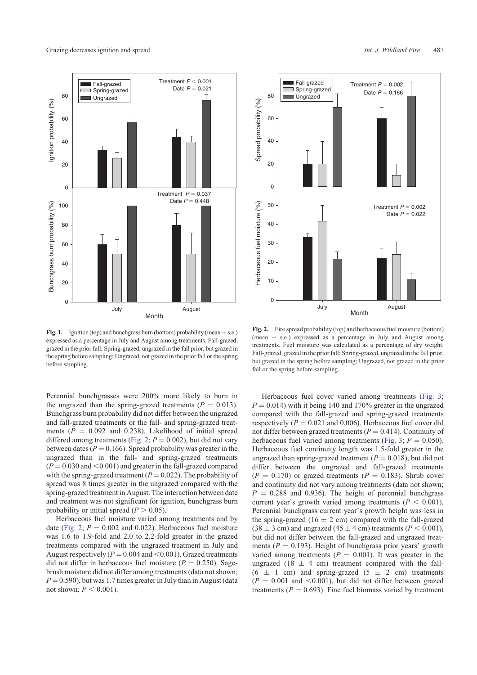<span id="page-2-0"></span>

**Fig. 1.** Ignition (top) and bunchgrass burn (bottom) probability (mean  $+$  s.e.) expressed as a percentage in July and August among treatments. Fall-grazed, grazed in the prior fall; Spring-grazed, ungrazed in the fall prior, but grazed in the spring before sampling; Ungrazed, not grazed in the prior fall or the spring before sampling.

Perennial bunchgrasses were 200% more likely to burn in the ungrazed than the spring-grazed treatments  $(P = 0.013)$ . Bunchgrass burn probability did not differ between the ungrazed and fall-grazed treatments or the fall- and spring-grazed treatments  $(P = 0.092$  and 0.238). Likelihood of initial spread differed among treatments (Fig. 2;  $P = 0.002$ ), but did not vary between dates ( $P = 0.166$ ). Spread probability was greater in the ungrazed than in the fall- and spring-grazed treatments  $(P = 0.030$  and  $\leq 0.001$ ) and greater in the fall-grazed compared with the spring-grazed treatment ( $P = 0.022$ ). The probability of spread was 8 times greater in the ungrazed compared with the spring-grazed treatment in August. The interaction between date and treatment was not significant for ignition, bunchgrass burn probability or initial spread  $(P > 0.05)$ .

Herbaceous fuel moisture varied among treatments and by date (Fig. 2;  $P = 0.002$  and 0.022). Herbaceous fuel moisture was 1.6 to 1.9-fold and 2.0 to 2.2-fold greater in the grazed treatments compared with the ungrazed treatment in July and August respectively ( $P = 0.004$  and  $\leq 0.001$ ). Grazed treatments did not differ in herbaceous fuel moisture  $(P = 0.250)$ . Sagebrush moisture did not differ among treatments (data not shown;  $P = 0.590$ ), but was 1.7 times greater in July than in August (data not shown;  $P \leq 0.001$ ).



**Fig. 2.** Fire spread probability (top) and herbaceous fuel moisture (bottom) (mean  $+$  s.e.) expressed as a percentage in July and August among treatments. Fuel moisture was calculated as a percentage of dry weight. Fall-grazed, grazed in the prior fall; Spring-grazed, ungrazed in the fall prior, but grazed in the spring before sampling; Ungrazed, not grazed in the prior fall or the spring before sampling.

Herbaceous fuel cover varied among treatments ([Fig. 3](#page-3-0);  $P = 0.014$ ) with it being 140 and 170% greater in the ungrazed compared with the fall-grazed and spring-grazed treatments respectively  $(P = 0.021$  and 0.006). Herbaceous fuel cover did not differ between grazed treatments  $(P = 0.414)$ . Continuity of herbaceous fuel varied among treatments ([Fig. 3](#page-3-0);  $P = 0.050$ ). Herbaceous fuel continuity length was 1.5-fold greater in the ungrazed than spring-grazed treatment  $(P = 0.018)$ , but did not differ between the ungrazed and fall-grazed treatments  $(P = 0.170)$  or grazed treatments  $(P = 0.183)$ . Shrub cover and continuity did not vary among treatments (data not shown;  $P = 0.288$  and 0.936). The height of perennial bunchgrass current year's growth varied among treatments  $(P < 0.001)$ . Perennial bunchgrass current year's growth height was less in the spring-grazed (16  $\pm$  2 cm) compared with the fall-grazed  $(38 \pm 3 \text{ cm})$  and ungrazed  $(45 \pm 4 \text{ cm})$  treatments  $(P < 0.001)$ , but did not differ between the fall-grazed and ungrazed treatments  $(P = 0.193)$ . Height of bunchgrass prior years' growth varied among treatments  $(P = 0.001)$ . It was greater in the ungrazed (18  $\pm$  4 cm) treatment compared with the fall- $(6 \pm 1 \text{ cm})$  and spring-grazed  $(5 \pm 2 \text{ cm})$  treatments  $(P = 0.001$  and  $\leq 0.001$ ), but did not differ between grazed treatments ( $P = 0.693$ ). Fine fuel biomass varied by treatment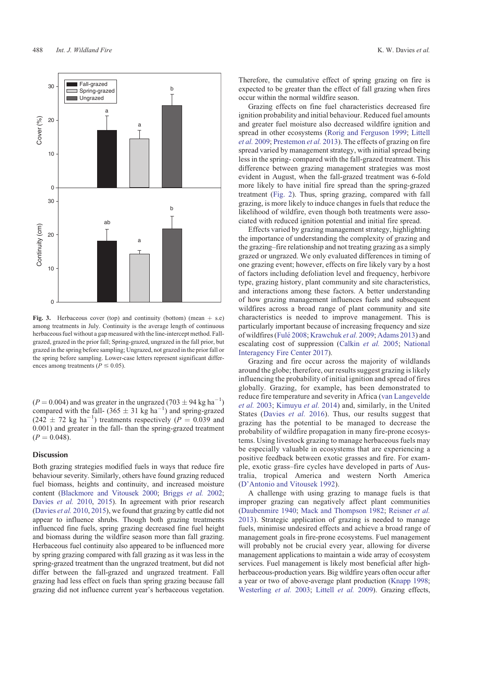<span id="page-3-0"></span>

**Fig. 3.** Herbaceous cover (top) and continuity (bottom) (mean  $+$  s.e) among treatments in July. Continuity is the average length of continuous herbaceous fuel without a gap measured with the line-intercept method. Fallgrazed, grazed in the prior fall; Spring-grazed, ungrazed in the fall prior, but grazed in the spring before sampling; Ungrazed, not grazed in the prior fall or the spring before sampling. Lower-case letters represent significant differences among treatments ( $P \le 0.05$ ).

 $(P = 0.004)$  and was greater in the ungrazed (703  $\pm$  94 kg ha<sup>-1</sup>) compared with the fall-  $(365 \pm 31 \text{ kg ha}^{-1})$  and spring-grazed  $(242 \pm 72 \text{ kg ha}^{-1})$  treatments respectively  $(P = 0.039 \text{ and } 0.039)$ 0.001) and greater in the fall- than the spring-grazed treatment  $(P = 0.048)$ .

### Discussion

Both grazing strategies modified fuels in ways that reduce fire behaviour severity. Similarly, others have found grazing reduced fuel biomass, heights and continuity, and increased moisture content [\(Blackmore and Vitousek 2000](#page-4-0); [Briggs](#page-4-0) *et al.* 2002; [Davies](#page-4-0) *et al.* 2010, [2015](#page-4-0)). In agreement with prior research ([Davies](#page-4-0) *et al.* 2010, [2015\)](#page-4-0), we found that grazing by cattle did not appear to influence shrubs. Though both grazing treatments influenced fine fuels, spring grazing decreased fine fuel height and biomass during the wildfire season more than fall grazing. Herbaceous fuel continuity also appeared to be influenced more by spring grazing compared with fall grazing as it was less in the spring-grazed treatment than the ungrazed treatment, but did not differ between the fall-grazed and ungrazed treatment. Fall grazing had less effect on fuels than spring grazing because fall grazing did not influence current year's herbaceous vegetation.

Therefore, the cumulative effect of spring grazing on fire is expected to be greater than the effect of fall grazing when fires occur within the normal wildfire season.

Grazing effects on fine fuel characteristics decreased fire ignition probability and initial behaviour. Reduced fuel amounts and greater fuel moisture also decreased wildfire ignition and spread in other ecosystems ([Rorig and Ferguson 1999;](#page-4-0) [Littell](#page-4-0) *et al.* [2009;](#page-4-0) [Prestemon](#page-4-0) *et al.* 2013). The effects of grazing on fire spread varied by management strategy, with initial spread being less in the spring- compared with the fall-grazed treatment. This difference between grazing management strategies was most evident in August, when the fall-grazed treatment was 6-fold more likely to have initial fire spread than the spring-grazed treatment ([Fig. 2\)](#page-2-0). Thus, spring grazing, compared with fall grazing, is more likely to induce changes in fuels that reduce the likelihood of wildfire, even though both treatments were associated with reduced ignition potential and initial fire spread.

Effects varied by grazing management strategy, highlighting the importance of understanding the complexity of grazing and the grazing–fire relationship and not treating grazing as a simply grazed or ungrazed. We only evaluated differences in timing of one grazing event; however, effects on fire likely vary by a host of factors including defoliation level and frequency, herbivore type, grazing history, plant community and site characteristics, and interactions among these factors. A better understanding of how grazing management influences fuels and subsequent wildfires across a broad range of plant community and site characteristics is needed to improve management. This is particularly important because of increasing frequency and size of wildfires ([Fule´ 2008](#page-4-0); [Krawchuk](#page-4-0) *et al.* 2009; [Adams 2013\)](#page-4-0) and escalating cost of suppression ([Calkin](#page-4-0) *et al.* 2005; [National](#page-4-0) [Interagency Fire Center 2017\)](#page-4-0).

Grazing and fire occur across the majority of wildlands around the globe; therefore, our results suggest grazing is likely influencing the probability of initial ignition and spread of fires globally. Grazing, for example, has been demonstrated to reduce fire temperature and severity in Africa [\(van Langevelde](#page-5-0) *et al.* [2003;](#page-5-0) [Kimuyu](#page-4-0) *et al.* 2014) and, similarly, in the United States ([Davies](#page-4-0) *et al.* 2016). Thus, our results suggest that grazing has the potential to be managed to decrease the probability of wildfire propagation in many fire-prone ecosystems. Using livestock grazing to manage herbaceous fuels may be especially valuable in ecosystems that are experiencing a positive feedback between exotic grasses and fire. For example, exotic grass–fire cycles have developed in parts of Australia, tropical America and western North America [\(D'Antonio and Vitousek 1992](#page-4-0)).

A challenge with using grazing to manage fuels is that improper grazing can negatively affect plant communities [\(Daubenmire 1940;](#page-4-0) [Mack and Thompson 1982;](#page-4-0) [Reisner](#page-4-0) *et al.* [2013\)](#page-4-0). Strategic application of grazing is needed to manage fuels, minimise undesired effects and achieve a broad range of management goals in fire-prone ecosystems. Fuel management will probably not be crucial every year, allowing for diverse management applications to maintain a wide array of ecosystem services. Fuel management is likely most beneficial after highherbaceous-production years. Big wildfire years often occur after a year or two of above-average plant production [\(Knapp 1998](#page-4-0); [Westerling](#page-5-0) *et al.* 2003; [Littell](#page-4-0) *et al.* 2009). Grazing effects,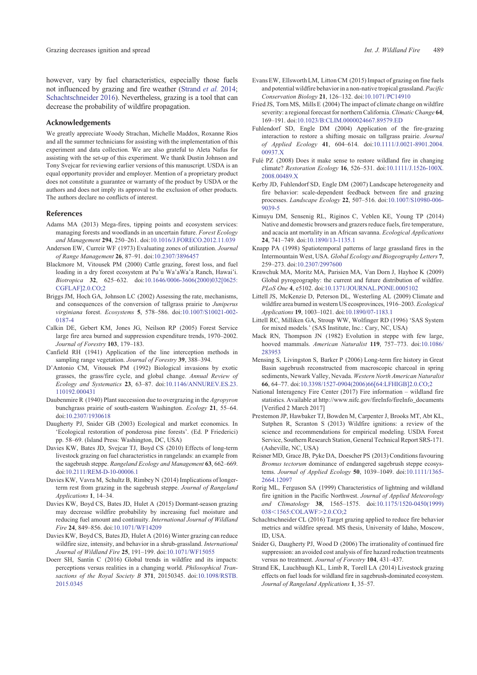<span id="page-4-0"></span>however, vary by fuel characteristics, especially those fuels not influenced by grazing and fire weather (Strand *et al.* 2014; Schachtschneider 2016). Nevertheless, grazing is a tool that can decrease the probability of wildfire propagation.

#### Acknowledgements

We greatly appreciate Woody Strachan, Michelle Maddox, Roxanne Rios and all the summer technicians for assisting with the implementation of this experiment and data collection. We are also grateful to Aleta Nafus for assisting with the set-up of this experiment. We thank Dustin Johnson and Tony Svejcar for reviewing earlier versions of this manuscript. USDA is an equal opportunity provider and employer. Mention of a proprietary product does not constitute a guarantee or warranty of the product by USDA or the authors and does not imply its approval to the exclusion of other products. The authors declare no conflicts of interest.

## References

- Adams MA (2013) Mega-fires, tipping points and ecosystem services: managing forests and woodlands in an uncertain future. *Forest Ecology and Management* **294**, 250–261. doi:[10.1016/J.FORECO.2012.11.039](http://dx.doi.org/10.1016/J.FORECO.2012.11.039)
- Anderson EW, Curreir WF (1973) Evaluating zones of utilization. *Journal of Range Management* **26**, 87–91. doi[:10.2307/3896457](http://dx.doi.org/10.2307/3896457)
- Blackmore M, Vitousek PM (2000) Cattle grazing, forest loss, and fuel loading in a dry forest ecosystem at Pu'u Wa'aWa'a Ranch, Hawai'i. *Biotropica* **32**, 625–632. doi:[10.1646/0006-3606\(2000\)032\[0625:](http://dx.doi.org/10.1646/0006-3606(2000)032[0625:CGFLAF]2.0.CO;2) [CGFLAF\]2.0.CO;2](http://dx.doi.org/10.1646/0006-3606(2000)032[0625:CGFLAF]2.0.CO;2)
- Briggs JM, Hoch GA, Johnson LC (2002) Assessing the rate, mechanisms, and consequences of the conversion of tallgrass prairie to *Juniperus virginiana* forest. *Ecosystems* **5**, 578–586. doi[:10.1007/S10021-002-](http://dx.doi.org/10.1007/S10021-002-0187-4) [0187-4](http://dx.doi.org/10.1007/S10021-002-0187-4)
- Calkin DE, Gebert KM, Jones JG, Neilson RP (2005) Forest Service large fire area burned and suppression expenditure trends, 1970–2002. *Journal of Forestry* **103**, 179–183.
- Canfield RH (1941) Application of the line interception methods in sampling range vegetation. *Journal of Forestry* **39**, 388–394.
- D'Antonio CM, Vitousek PM (1992) Biological invasions by exotic grasses, the grass/fire cycle, and global change. *Annual Review of Ecology and Systematics* **23**, 63–87. doi:[10.1146/ANNUREV.ES.23.](http://dx.doi.org/10.1146/ANNUREV.ES.23.110192.000431) [110192.000431](http://dx.doi.org/10.1146/ANNUREV.ES.23.110192.000431)
- Daubenmire R (1940) Plant succession due to overgrazing in the *Agropyron* bunchgrass prairie of south-eastern Washington. *Ecology* **21**, 55–64. doi[:10.2307/1930618](http://dx.doi.org/10.2307/1930618)
- Daugherty PJ, Snider GB (2003) Ecological and market economics. In 'Ecological restoration of ponderosa pine forests'. (Ed. P Friederici) pp. 58–69. (Island Press: Washington, DC, USA)
- Davies KW, Bates JD, Svejcar TJ, Boyd CS (2010) Effects of long-term livestock grazing on fuel characteristics in rangelands: an example from the sagebrush steppe. *Rangeland Ecology and Management* **63**, 662–669. doi:[10.2111/REM-D-10-00006.1](http://dx.doi.org/10.2111/REM-D-10-00006.1)
- Davies KW, Vavra M, Schultz B, Rimbey N (2014) Implications of longerterm rest from grazing in the sagebrush steppe. *Journal of Rangeland Applications* **1**, 14–34.
- Davies KW, Boyd CS, Bates JD, Hulet A (2015) Dormant-season grazing may decrease wildfire probability by increasing fuel moisture and reducing fuel amount and continuity. *International Journal of Wildland Fire* **24**, 849–856. doi:[10.1071/WF14209](http://dx.doi.org/10.1071/WF14209)
- Davies KW, Boyd CS, Bates JD, Hulet A (2016) Winter grazing can reduce wildfire size, intensity, and behavior in a shrub-grassland. *International Journal of Wildland Fire* **25**, 191–199. doi[:10.1071/WF15055](http://dx.doi.org/10.1071/WF15055)
- Doerr SH, Santín C (2016) Global trends in wildfire and its impacts: perceptions versus realities in a changing world. *Philosophical Transactions of the Royal Society B* **371**, 20150345. doi:[10.1098/RSTB.](http://dx.doi.org/10.1098/RSTB.2015.0345) [2015.0345](http://dx.doi.org/10.1098/RSTB.2015.0345)
- Evans EW, Ellsworth LM, Litton CM (2015) Impact of grazing on fine fuels and potential wildfire behavior in a non-native tropical grassland. *Pacific Conservation Biology* **21**, 126–132. doi:[10.1071/PC14910](http://dx.doi.org/10.1071/PC14910)
- Fried JS, Torn MS, Mills E (2004) The impact of climate change on wildfire severity: a regional forecast for northern California.*Climatic Change* **64**, 169–191. doi[:10.1023/B:CLIM.0000024667.89579.ED](http://dx.doi.org/10.1023/B:CLIM.0000024667.89579.ED)
- Fuhlendorf SD, Engle DM (2004) Application of the fire-grazing interaction to restore a shifting mosaic on tallgrass prairie. *Journal of Applied Ecology* **41**, 604–614. doi:[10.1111/J.0021-8901.2004.](http://dx.doi.org/10.1111/J.0021-8901.2004.00937.X) [00937.X](http://dx.doi.org/10.1111/J.0021-8901.2004.00937.X)
- Fule<sup> $PZ$ </sup> (2008) Does it make sense to restore wildland fire in changing climate? *Restoration Ecology* **16**, 526–531. doi:[10.1111/J.1526-100X.](http://dx.doi.org/10.1111/J.1526-100X.2008.00489.X) [2008.00489.X](http://dx.doi.org/10.1111/J.1526-100X.2008.00489.X)
- Kerby JD, Fuhlendorf SD, Engle DM (2007) Landscape heterogeneity and fire behavior: scale-dependent feedback between fire and grazing processes. *Landscape Ecology* **22**, 507–516. doi[:10.1007/S10980-006-](http://dx.doi.org/10.1007/S10980-006-9039-5) [9039-5](http://dx.doi.org/10.1007/S10980-006-9039-5)
- Kimuyu DM, Sensenig RL, Riginos C, Veblen KE, Young TP (2014) Native and domestic browsers and grazers reduce fuels, fire temperature, and acacia ant mortality in an African savanna. *Ecological Applications* **24**, 741–749. doi[:10.1890/13-1135.1](http://dx.doi.org/10.1890/13-1135.1)
- Knapp PA (1998) Spatiotemporal patterns of large grassland fires in the Intermountain West, USA. *Global Ecology and Biogeography Letters* **7**, 259–273. doi[:10.2307/2997600](http://dx.doi.org/10.2307/2997600)
- Krawchuk MA, Moritz MA, Parisien MA, Van Dorn J, Hayhoe K (2009) Global pyrogeography: the current and future distribution of wildfire. *PLoS One* **4**, e5102. doi[:10.1371/JOURNAL.PONE.0005102](http://dx.doi.org/10.1371/JOURNAL.PONE.0005102)
- Littell JS, McKenzie D, Peterson DL, Westerling AL (2009) Climate and wildfire area burned in western US ecosprovinces, 1916–2003. *Ecological Applications* **19**, 1003–1021. doi[:10.1890/07-1183.1](http://dx.doi.org/10.1890/07-1183.1)
- Littell RC, Milliken GA, Stroup WW, Wolfinger RD (1996) 'SAS System for mixed models.' (SAS Institute, Inc.: Cary, NC, USA)
- Mack RN, Thompson JN (1982) Evolution in steppe with few large, hooved mammals. *American Naturalist* **119**, 757–773. doi:[10.1086/](http://dx.doi.org/10.1086/283953) [283953](http://dx.doi.org/10.1086/283953)
- Mensing S, Livingston S, Barker P (2006) Long-term fire history in Great Basin sagebrush reconstructed from macroscopic charcoal in spring sediments, Newark Valley, Nevada. *Western North American Naturalist* **66**, 64–77. doi[:10.3398/1527-0904\(2006\)66\[64:LFHIGB\]2.0.CO;2](http://dx.doi.org/10.3398/1527-0904(2006)66[64:LFHIGB]2.0.CO;2)
- National Interagency Fire Center (2017) Fire information wildland fire statistics. Available at [http://www.nifc.gov/fireInfo/fireInfo\\_documents](http://www.nifc.gov/fireInfo/fireInfo_documents) [Verified 2 March 2017]
- Prestemon JP, Hawbaker TJ, Bowden M, Carpenter J, Brooks MT, Abt KL, Sutphen R, Scranton S (2013) Wildfire ignitions: a review of the science and recommendations for empirical modeling. USDA Forest Service, Southern Research Station, General Technical Report SRS-171. (Asheville, NC, USA)
- Reisner MD, Grace JB, Pyke DA, Doescher PS (2013) Conditions favouring *Bromus tectorum* dominance of endangered sagebrush steppe ecosystems. *Journal of Applied Ecology* **50**, 1039–1049. doi[:10.1111/1365-](http://dx.doi.org/10.1111/1365-2664.12097) [2664.12097](http://dx.doi.org/10.1111/1365-2664.12097)
- Rorig ML, Ferguson SA (1999) Characteristics of lightning and wildland fire ignition in the Pacific Northwest. *Journal of Applied Meteorology and Climatology* **38**, 1565–1575. doi[:10.1175/1520-0450\(1999\)](http://dx.doi.org/10.1175/1520-0450(1999)038%3C1565:COLAWF%3E2.0.CO;2) [038](http://dx.doi.org/10.1175/1520-0450(1999)038%3C1565:COLAWF%3E2.0.CO;2)<[1565:COLAWF](http://dx.doi.org/10.1175/1520-0450(1999)038%3C1565:COLAWF%3E2.0.CO;2)>[2.0.CO;2](http://dx.doi.org/10.1175/1520-0450(1999)038%3C1565:COLAWF%3E2.0.CO;2)
- Schachtschneider CL (2016) Target grazing applied to reduce fire behavior metrics and wildfire spread. MS thesis, University of Idaho, Moscow, ID, USA.
- Snider G, Daugherty PJ, Wood D (2006) The irrationality of continued fire suppression: an avoided cost analysis of fire hazard reduction treatments versus no treatment. *Journal of Forestry* **104**, 431–437.
- Strand EK, Lauchbaugh KL, Limb R, Torell LA (2014) Livestock grazing effects on fuel loads for wildland fire in sagebrush-dominated ecosystem. *Journal of Rangeland Applications* **1**, 35–57.